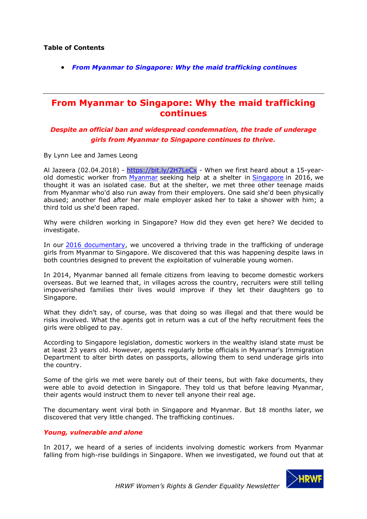• *From Myanmar to Singapore: Why the maid trafficking continues*

## **From Myanmar to Singapore: Why the maid trafficking continues**

## *Despite an official ban and widespread condemnation, the trade of underage girls from Myanmar to Singapore continues to thrive.*

By Lynn Lee and James Leong

Al Jazeera (02.04.2018) - https://bit.ly/2H7LeCx - When we first heard about a 15-yearold domestic worker from Myanmar seeking help at a shelter in Singapore in 2016, we thought it was an isolated case. But at the shelter, we met three other teenage maids from Myanmar who'd also run away from their employers. One said she'd been physically abused; another fled after her male employer asked her to take a shower with him; a third told us she'd been raped.

Why were children working in Singapore? How did they even get here? We decided to investigate.

In our 2016 documentary, we uncovered a thriving trade in the trafficking of underage girls from Myanmar to Singapore. We discovered that this was happening despite laws in both countries designed to prevent the exploitation of vulnerable young women.

In 2014, Myanmar banned all female citizens from leaving to become domestic workers overseas. But we learned that, in villages across the country, recruiters were still telling impoverished families their lives would improve if they let their daughters go to Singapore.

What they didn't say, of course, was that doing so was illegal and that there would be risks involved. What the agents got in return was a cut of the hefty recruitment fees the girls were obliged to pay.

According to Singapore legislation, domestic workers in the wealthy island state must be at least 23 years old. However, agents regularly bribe officials in Myanmar's Immigration Department to alter birth dates on passports, allowing them to send underage girls into the country.

Some of the girls we met were barely out of their teens, but with fake documents, they were able to avoid detection in Singapore. They told us that before leaving Myanmar, their agents would instruct them to never tell anyone their real age.

The documentary went viral both in Singapore and Myanmar. But 18 months later, we discovered that very little changed. The trafficking continues.

## *Young, vulnerable and alone*

In 2017, we heard of a series of incidents involving domestic workers from Myanmar falling from high-rise buildings in Singapore. When we investigated, we found out that at